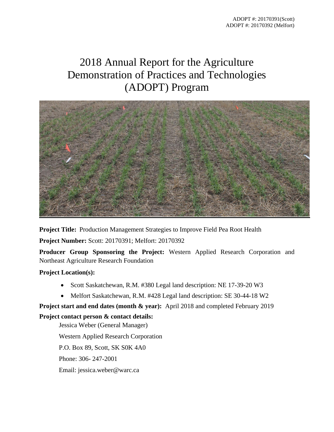# 2018 Annual Report for the Agriculture Demonstration of Practices and Technologies (ADOPT) Program



**Project Title:** Production Management Strategies to Improve Field Pea Root Health

**Project Number:** Scott: 20170391; Melfort: 20170392

**Producer Group Sponsoring the Project:** Western Applied Research Corporation and Northeast Agriculture Research Foundation

# **Project Location(s):**

- Scott Saskatchewan, R.M. #380 Legal land description: NE 17-39-20 W3
- Melfort Saskatchewan, R.M. #428 Legal land description: SE 30-44-18 W2

# **Project start and end dates (month & year):** April 2018 and completed February 2019

# **Project contact person & contact details:**

Jessica Weber (General Manager) Western Applied Research Corporation P.O. Box 89, Scott, SK S0K 4A0 Phone: 306- 247-2001 Email: jessica.weber@warc.ca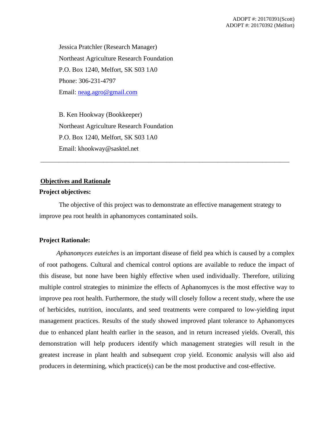Jessica Pratchler (Research Manager) Northeast Agriculture Research Foundation P.O. Box 1240, Melfort, SK S03 1A0 Phone: 306-231-4797 Email: [neag.agro@gmail.com](mailto:neag.agro@gmail.com)

B. Ken Hookway (Bookkeeper) Northeast Agriculture Research Foundation P.O. Box 1240, Melfort, SK S03 1A0 Email: khookway@sasktel.net

# **Objectives and Rationale**

## **Project objectives:**

The objective of this project was to demonstrate an effective management strategy to improve pea root health in aphanomyces contaminated soils.

\_\_\_\_\_\_\_\_\_\_\_\_\_\_\_\_\_\_\_\_\_\_\_\_\_\_\_\_\_\_\_\_\_\_\_\_\_\_\_\_\_\_\_\_\_\_\_\_\_\_\_\_\_\_\_\_\_\_\_\_\_\_\_\_\_\_\_\_\_\_\_\_\_\_\_\_\_\_\_\_\_\_\_

# **Project Rationale:**

*Aphanomyces euteiches* is an important disease of field pea which is caused by a complex of root pathogens. Cultural and chemical control options are available to reduce the impact of this disease, but none have been highly effective when used individually. Therefore, utilizing multiple control strategies to minimize the effects of Aphanomyces is the most effective way to improve pea root health. Furthermore, the study will closely follow a recent study, where the use of herbicides, nutrition, inoculants, and seed treatments were compared to low-yielding input management practices. Results of the study showed improved plant tolerance to Aphanomyces due to enhanced plant health earlier in the season, and in return increased yields. Overall, this demonstration will help producers identify which management strategies will result in the greatest increase in plant health and subsequent crop yield. Economic analysis will also aid producers in determining, which practice(s) can be the most productive and cost-effective.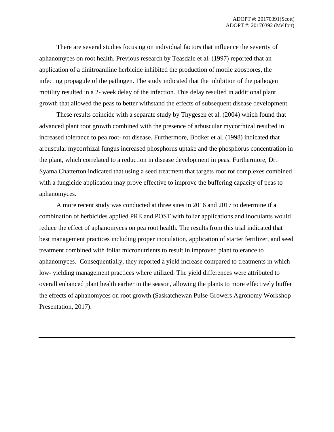There are several studies focusing on individual factors that influence the severity of aphanomyces on root health. Previous research by Teasdale et al. (1997) reported that an application of a dinitroaniline herbicide inhibited the production of motile zoospores, the infecting propagule of the pathogen. The study indicated that the inhibition of the pathogen motility resulted in a 2- week delay of the infection. This delay resulted in additional plant growth that allowed the peas to better withstand the effects of subsequent disease development.

These results coincide with a separate study by Thygesen et al. (2004) which found that advanced plant root growth combined with the presence of arbuscular mycorrhizal resulted in increased tolerance to pea root- rot disease. Furthermore, Bodker et al. (1998) indicated that arbuscular mycorrhizal fungus increased phosphorus uptake and the phosphorus concentration in the plant, which correlated to a reduction in disease development in peas. Furthermore, Dr. Syama Chatterton indicated that using a seed treatment that targets root rot complexes combined with a fungicide application may prove effective to improve the buffering capacity of peas to aphanomyces.

A more recent study was conducted at three sites in 2016 and 2017 to determine if a combination of herbicides applied PRE and POST with foliar applications and inoculants would reduce the effect of aphanomyces on pea root health. The results from this trial indicated that best management practices including proper inoculation, application of starter fertilizer, and seed treatment combined with foliar micronutrients to result in improved plant tolerance to aphanomyces. Consequentially, they reported a yield increase compared to treatments in which low- yielding management practices where utilized. The yield differences were attributed to overall enhanced plant health earlier in the season, allowing the plants to more effectively buffer the effects of aphanomyces on root growth (Saskatchewan Pulse Growers Agronomy Workshop Presentation, 2017).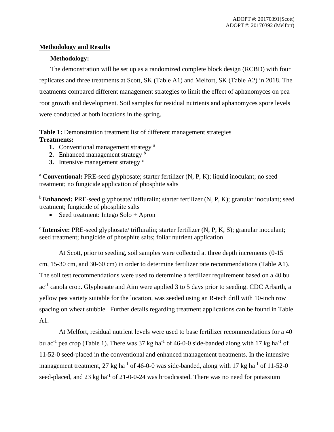# **Methodology and Results**

# **Methodology:**

The demonstration will be set up as a randomized complete block design (RCBD) with four replicates and three treatments at Scott, SK (Table A1) and Melfort, SK (Table A2) in 2018. The treatments compared different management strategies to limit the effect of aphanomyces on pea root growth and development. Soil samples for residual nutrients and aphanomyces spore levels were conducted at both locations in the spring.

**Table 1:** Demonstration treatment list of different management strategies **Treatments:**

- **1.** Conventional management strategy<sup>a</sup>
- **2.** Enhanced management strategy <sup>b</sup>
- **3.** Intensive management strategy <sup>c</sup>

<sup>a</sup> **Conventional:** PRE-seed glyphosate; starter fertilizer (N, P, K); liquid inoculant; no seed treatment; no fungicide application of phosphite salts

<sup>b</sup> Enhanced: PRE-seed glyphosate/ trifluralin; starter fertilizer (N, P, K); granular inoculant; seed treatment; fungicide of phosphite salts

• Seed treatment: Intego Solo + Apron

<sup>c</sup>**Intensive:** PRE-seed glyphosate/ trifluralin; starter fertilizer (N, P, K, S); granular inoculant; seed treatment; fungicide of phosphite salts; foliar nutrient application

At Scott, prior to seeding, soil samples were collected at three depth increments (0-15 cm, 15-30 cm, and 30-60 cm) in order to determine fertilizer rate recommendations (Table A1). The soil test recommendations were used to determine a fertilizer requirement based on a 40 bu ac<sup>-1</sup> canola crop. Glyphosate and Aim were applied 3 to 5 days prior to seeding. CDC Arbarth, a yellow pea variety suitable for the location, was seeded using an R-tech drill with 10-inch row spacing on wheat stubble. Further details regarding treatment applications can be found in Table A1.

At Melfort, residual nutrient levels were used to base fertilizer recommendations for a 40 bu ac<sup>-1</sup> pea crop (Table 1). There was 37 kg ha<sup>-1</sup> of 46-0-0 side-banded along with 17 kg ha<sup>-1</sup> of 11-52-0 seed-placed in the conventional and enhanced management treatments. In the intensive management treatment, 27 kg ha<sup>-1</sup> of 46-0-0 was side-banded, along with 17 kg ha<sup>-1</sup> of 11-52-0 seed-placed, and 23 kg ha<sup>-1</sup> of 21-0-0-24 was broadcasted. There was no need for potassium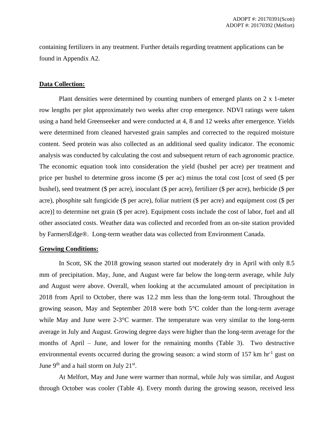containing fertilizers in any treatment. Further details regarding treatment applications can be found in Appendix A2.

#### **Data Collection:**

Plant densities were determined by counting numbers of emerged plants on 2 x 1-meter row lengths per plot approximately two weeks after crop emergence. NDVI ratings were taken using a hand held Greenseeker and were conducted at 4, 8 and 12 weeks after emergence. Yields were determined from cleaned harvested grain samples and corrected to the required moisture content. Seed protein was also collected as an additional seed quality indicator. The economic analysis was conducted by calculating the cost and subsequent return of each agronomic practice. The economic equation took into consideration the yield (bushel per acre) per treatment and price per bushel to determine gross income (\$ per ac) minus the total cost [cost of seed (\$ per bushel), seed treatment (\$ per acre), inoculant (\$ per acre), fertilizer (\$ per acre), herbicide (\$ per acre), phosphite salt fungicide (\$ per acre), foliar nutrient (\$ per acre) and equipment cost (\$ per acre)] to determine net grain (\$ per acre). Equipment costs include the cost of labor, fuel and all other associated costs. Weather data was collected and recorded from an on-site station provided by FarmersEdge®. Long-term weather data was collected from Environment Canada.

#### **Growing Conditions:**

In Scott, SK the 2018 growing season started out moderately dry in April with only 8.5 mm of precipitation. May, June, and August were far below the long-term average, while July and August were above. Overall, when looking at the accumulated amount of precipitation in 2018 from April to October, there was 12.2 mm less than the long-term total. Throughout the growing season, May and September 2018 were both 5°C colder than the long-term average while May and June were 2-3<sup>o</sup>C warmer. The temperature was very similar to the long-term average in July and August. Growing degree days were higher than the long-term average for the months of April – June, and lower for the remaining months (Table 3). Two destructive environmental events occurred during the growing season: a wind storm of  $157 \text{ km hr}^{-1}$  gust on June  $9<sup>th</sup>$  and a hail storm on July  $21<sup>st</sup>$ .

At Melfort, May and June were warmer than normal, while July was similar, and August through October was cooler (Table 4). Every month during the growing season, received less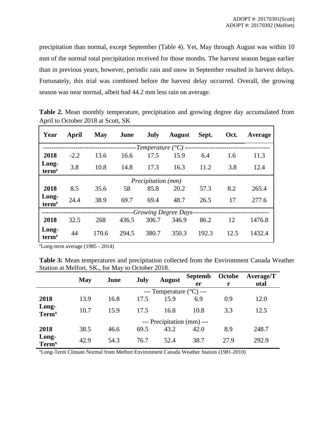precipitation than normal, except September (Table 4). Yet, May through August was within 10 mm of the normal total precipitation received for those months. The harvest season began earlier than in previous years, however, periodic rain and snow in September resulted in harvest delays. Fortunately, this trial was combined before the harvest delay occurred. Overall, the growing season was near normal, albeit had 44.2 mm less rain on average.

| Table 2. Mean monthly temperature, precipitation and growing degree day accumulated from |  |  |  |  |  |
|------------------------------------------------------------------------------------------|--|--|--|--|--|
| April to October 2018 at Scott, SK                                                       |  |  |  |  |  |

| Year                       | April                     | <b>May</b> | June  | July                       | <b>August</b> | Sept. | Oct. | Average |
|----------------------------|---------------------------|------------|-------|----------------------------|---------------|-------|------|---------|
|                            |                           |            |       | -Temperature $(^{\circ}C)$ |               |       |      |         |
| 2018                       | $-2.2$                    | 13.6       | 16.6  | 17.5                       | 15.9          | 6.4   | 1.6  | 11.3    |
| Long-<br>term <sup>z</sup> | 3.8                       | 10.8       | 14.8  | 17.3                       | 16.3          | 11.2  | 3.8  | 12.4    |
|                            | <i>Precipitation (mm)</i> |            |       |                            |               |       |      |         |
| 2018                       | 8.5                       | 35.6       | 58    | 85.8                       | 20.2          | 57.3  | 8.2  | 265.4   |
| Long-<br>term <sup>z</sup> | 24.4                      | 38.9       | 69.7  | 69.4                       | 48.7          | 26.5  | 17   | 277.6   |
|                            | -Growing Degree Days-     |            |       |                            |               |       |      |         |
| 2018                       | 32.5                      | 268        | 436.5 | 306.7                      | 346.9         | 86.2  | 12   | 1476.8  |
| Long-<br>term <sup>z</sup> | 44                        | 170.6      | 294.5 | 380.7                      | 350.3         | 192.3 | 12.5 | 1432.4  |

 $\text{ZLong-term average}$  (1985 - 2014)

**Table 3:** Mean temperatures and precipitation collected from the Environment Canada Weather Station at Melfort, SK., for May to October 2018.

|                                   | <b>May</b> | June | July | <b>August</b>                       | <b>Septemb</b><br>er | Octobe | <b>Average/T</b><br>otal |
|-----------------------------------|------------|------|------|-------------------------------------|----------------------|--------|--------------------------|
|                                   |            |      |      | --- Temperature $({}^{\circ}C)$ --- |                      |        |                          |
| 2018                              | 13.9       | 16.8 | 17.5 | 15.9                                | 6.9                  | 0.9    | 12.0                     |
| Long-<br><b>Term</b> <sup>x</sup> | 10.7       | 15.9 | 17.5 | 16.8                                | 10.8                 | 3.3    | 12.5                     |
|                                   |            |      |      | --- Precipitation (mm) ---          |                      |        |                          |
| 2018                              | 38.5       | 46.6 | 69.5 | 43.2                                | 42.0                 | 8.9    | 248.7                    |
| Long-<br><b>Term<sup>x</sup></b>  | 42.9       | 54.3 | 76.7 | 52.4                                | 38.7                 | 27.9   | 292.9                    |

xLong-Term Climate Normal from Melfort Environment Canada Weather Station (1981-2010)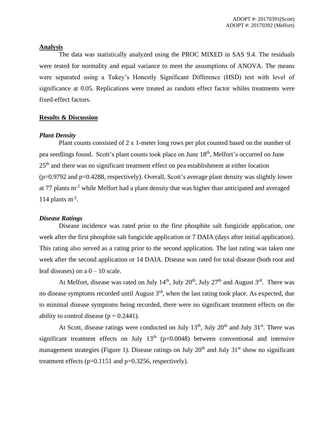#### **Analysis**

The data was statistically analyzed using the PROC MIXED in SAS 9.4. The residuals were tested for normality and equal variance to meet the assumptions of ANOVA. The means were separated using a Tukey's Honestly Significant Difference (HSD) test with level of significance at 0.05. Replications were treated as random effect factor whiles treatments were fixed-effect factors.

## **Results & Discussion**

## *Plant Density*

Plant counts consisted of 2 x 1-meter long rows per plot counted based on the number of pea seedlings found. Scott's plant counts took place on June 18<sup>th</sup>, Melfort's occurred on June 25<sup>th</sup> and there was no significant treatment effect on pea establishment at either location (p=0.9792 and p=0.4288, respectively). Overall, Scott's average plant density was slightly lower at 77 plants m-2 while Melfort had a plant density that was higher than anticipated and averaged 114 plants  $m^{-2}$ .

# *Disease Ratings*

Disease incidence was rated prior to the first phosphite salt fungicide application, one week after the first phosphite salt fungicide application or 7 DAIA (days after initial application). This rating also served as a rating prior to the second application. The last rating was taken one week after the second application or 14 DAIA. Disease was rated for total disease (both root and leaf diseases) on a  $0 - 10$  scale.

At Melfort, disease was rated on July 14<sup>th</sup>, July 20<sup>th</sup>, July 27<sup>th</sup> and August 3<sup>rd</sup>. There was no disease symptoms recorded until August 3rd, when the last rating took place. As expected, due to minimal disease symptoms being recorded, there were no significant treatment effects on the ability to control disease ( $p = 0.2441$ ).

At Scott, disease ratings were conducted on July  $13<sup>th</sup>$ , July  $20<sup>th</sup>$  and July  $31<sup>st</sup>$ . There was significant treatment effects on July  $13<sup>th</sup>$  (p=0.0048) between conventional and intensive management strategies (Figure 1). Disease ratings on July  $20<sup>th</sup>$  and July  $31<sup>st</sup>$  show no significant treatment effects  $(p=0.1151$  and  $p=0.3256$ , respectively).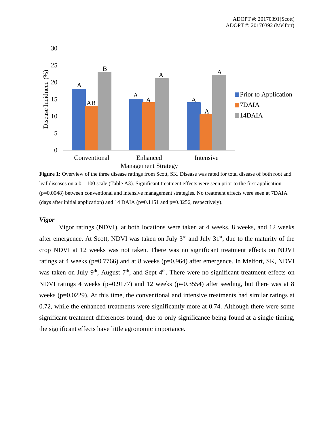

**Figure 1:** Overview of the three disease ratings from Scott, SK. Disease was rated for total disease of both root and leaf diseases on a  $0 - 100$  scale (Table A3). Significant treatment effects were seen prior to the first application (p=0.0048) between conventional and intensive management strategies. No treatment effects were seen at 7DAIA (days after initial application) and 14 DAIA ( $p=0.1151$  and  $p=0.3256$ , respectively).

#### *Vigor*

Vigor ratings (NDVI), at both locations were taken at 4 weeks, 8 weeks, and 12 weeks after emergence. At Scott, NDVI was taken on July  $3<sup>rd</sup>$  and July  $31<sup>st</sup>$ , due to the maturity of the crop NDVI at 12 weeks was not taken. There was no significant treatment effects on NDVI ratings at 4 weeks ( $p=0.7766$ ) and at 8 weeks ( $p=0.964$ ) after emergence. In Melfort, SK, NDVI was taken on July  $9<sup>th</sup>$ , August  $7<sup>th</sup>$ , and Sept  $4<sup>th</sup>$ . There were no significant treatment effects on NDVI ratings 4 weeks (p=0.9177) and 12 weeks (p=0.3554) after seeding, but there was at 8 weeks (p=0.0229). At this time, the conventional and intensive treatments had similar ratings at 0.72, while the enhanced treatments were significantly more at 0.74. Although there were some significant treatment differences found, due to only significance being found at a single timing, the significant effects have little agronomic importance.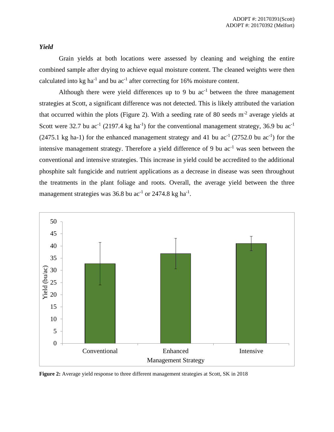# *Yield*

Grain yields at both locations were assessed by cleaning and weighing the entire combined sample after drying to achieve equal moisture content. The cleaned weights were then calculated into kg ha<sup>-1</sup> and bu ac<sup>-1</sup> after correcting for 16% moisture content.

Although there were yield differences up to 9 bu  $ac^{-1}$  between the three management strategies at Scott, a significant difference was not detected. This is likely attributed the variation that occurred within the plots (Figure 2). With a seeding rate of 80 seeds  $m<sup>-2</sup>$  average yields at Scott were 32.7 bu ac<sup>-1</sup> (2197.4 kg ha<sup>-1</sup>) for the conventional management strategy, 36.9 bu ac<sup>-1</sup>  $(2475.1 \text{ kg ha-1})$  for the enhanced management strategy and 41 bu ac<sup>-1</sup>  $(2752.0 \text{ bu ac}^{-1})$  for the intensive management strategy. Therefore a yield difference of 9 bu  $ac^{-1}$  was seen between the conventional and intensive strategies. This increase in yield could be accredited to the additional phosphite salt fungicide and nutrient applications as a decrease in disease was seen throughout the treatments in the plant foliage and roots. Overall, the average yield between the three management strategies was  $36.8$  bu ac<sup>-1</sup> or  $2474.8$  kg ha<sup>-1</sup>.



**Figure 2:** Average yield response to three different management strategies at Scott, SK in 2018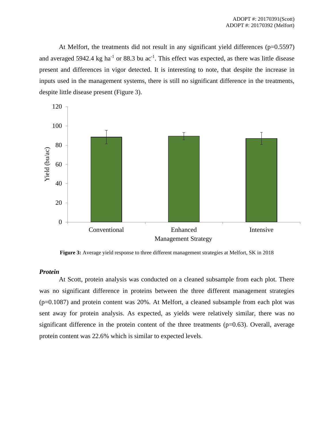At Melfort, the treatments did not result in any significant yield differences  $(p=0.5597)$ and averaged 5942.4 kg ha<sup>-1</sup> or 88.3 bu ac<sup>-1</sup>. This effect was expected, as there was little disease present and differences in vigor detected. It is interesting to note, that despite the increase in inputs used in the management systems, there is still no significant difference in the treatments, despite little disease present (Figure 3).



**Figure 3:** Average yield response to three different management strategies at Melfort, SK in 2018

#### *Protein*

At Scott, protein analysis was conducted on a cleaned subsample from each plot. There was no significant difference in proteins between the three different management strategies (p=0.1087) and protein content was 20%. At Melfort, a cleaned subsample from each plot was sent away for protein analysis. As expected, as yields were relatively similar, there was no significant difference in the protein content of the three treatments (p=0.63). Overall, average protein content was 22.6% which is similar to expected levels.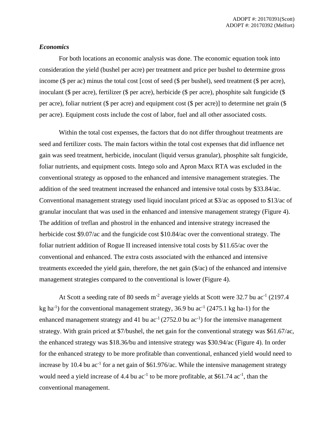#### *Economics*

For both locations an economic analysis was done. The economic equation took into consideration the yield (bushel per acre) per treatment and price per bushel to determine gross income (\$ per ac) minus the total cost [cost of seed (\$ per bushel), seed treatment (\$ per acre), inoculant (\$ per acre), fertilizer (\$ per acre), herbicide (\$ per acre), phosphite salt fungicide (\$ per acre), foliar nutrient (\$ per acre) and equipment cost (\$ per acre)] to determine net grain (\$ per acre). Equipment costs include the cost of labor, fuel and all other associated costs.

Within the total cost expenses, the factors that do not differ throughout treatments are seed and fertilizer costs. The main factors within the total cost expenses that did influence net gain was seed treatment, herbicide, inoculant (liquid versus granular), phosphite salt fungicide, foliar nutrients, and equipment costs. Intego solo and Apron Maxx RTA was excluded in the conventional strategy as opposed to the enhanced and intensive management strategies. The addition of the seed treatment increased the enhanced and intensive total costs by \$33.84/ac. Conventional management strategy used liquid inoculant priced at \$3/ac as opposed to \$13/ac of granular inoculant that was used in the enhanced and intensive management strategy (Figure 4). The addition of treflan and phostrol in the enhanced and intensive strategy increased the herbicide cost \$9.07/ac and the fungicide cost \$10.84/ac over the conventional strategy. The foliar nutrient addition of Rogue II increased intensive total costs by \$11.65/ac over the conventional and enhanced. The extra costs associated with the enhanced and intensive treatments exceeded the yield gain, therefore, the net gain (\$/ac) of the enhanced and intensive management strategies compared to the conventional is lower (Figure 4).

At Scott a seeding rate of 80 seeds  $m^{-2}$  average yields at Scott were 32.7 bu ac<sup>-1</sup> (2197.4) kg ha<sup>-1</sup>) for the conventional management strategy, 36.9 bu ac<sup>-1</sup> (2475.1 kg ha-1) for the enhanced management strategy and 41 bu  $ac^{-1}$  (2752.0 bu  $ac^{-1}$ ) for the intensive management strategy. With grain priced at \$7/bushel, the net gain for the conventional strategy was \$61.67/ac, the enhanced strategy was \$18.36/bu and intensive strategy was \$30.94/ac (Figure 4). In order for the enhanced strategy to be more profitable than conventional, enhanced yield would need to increase by 10.4 bu  $ac^{-1}$  for a net gain of \$61.976/ac. While the intensive management strategy would need a yield increase of 4.4 bu  $ac^{-1}$  to be more profitable, at \$61.74  $ac^{-1}$ , than the conventional management.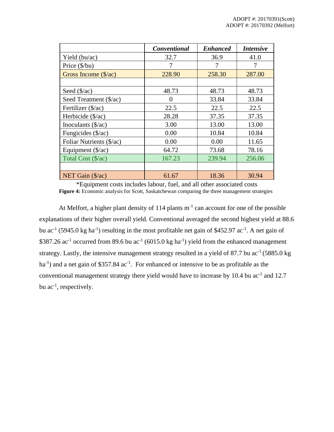|                               | <b>Conventional</b> | <b>Enhanced</b> | <i><b>Intensive</b></i> |
|-------------------------------|---------------------|-----------------|-------------------------|
| Yield (bu/ac)                 | 32.7                | 36.9            | 41.0                    |
| Price (\$/bu)                 | 7                   | 7               | 7                       |
| Gross Income $(\frac{5}{ac})$ | 228.90              | 258.30          | 287.00                  |
|                               |                     |                 |                         |
| Seed $(\frac{5}{ac})$         | 48.73               | 48.73           | 48.73                   |
| Seed Treatment (\$/ac)        | 0                   | 33.84           | 33.84                   |
| Fertilizer (\$/ac)            | 22.5                | 22.5            | 22.5                    |
| Herbicide $(\frac{5}{ac})$    | 28.28               | 37.35           | 37.35                   |
| Inoculants $(\frac{5}{ac})$   | 3.00                | 13.00           | 13.00                   |
| Fungicides (\$/ac)            | 0.00                | 10.84           | 10.84                   |
| Foliar Nutrients (\$/ac)      | 0.00                | 0.00            | 11.65                   |
| Equipment (\$/ac)             | 64.72               | 73.68           | 78.16                   |
| Total Cost (\$/ac)            | 167.23              | 239.94          | 256.06                  |
|                               |                     |                 |                         |
| NET Gain $(\frac{5}{ac})$     | 61.67               | 18.36           | 30.94                   |

\*Equipment costs includes labour, fuel, and all other associated costs Figure 4: Economic analysis for Scott, Saskatchewan comparing the three management strategies

At Melfort, a higher plant density of  $114$  plants  $m^{-1}$  can account for one of the possible explanations of their higher overall yield. Conventional averaged the second highest yield at 88.6 bu ac<sup>-1</sup> (5945.0 kg ha<sup>-1</sup>) resulting in the most profitable net gain of \$452.97 ac<sup>-1</sup>. A net gain of \$387.26 ac<sup>-1</sup> occurred from 89.6 bu ac<sup>-1</sup> (6015.0 kg ha<sup>-1</sup>) yield from the enhanced management strategy. Lastly, the intensive management strategy resulted in a yield of 87.7 bu  $ac^{-1}$  (5885.0 kg ha<sup>-1</sup>) and a net gain of \$357.84  $ac^{-1}$ . For enhanced or intensive to be as profitable as the conventional management strategy there yield would have to increase by 10.4 bu  $ac^{-1}$  and 12.7 bu  $ac^{-1}$ , respectively.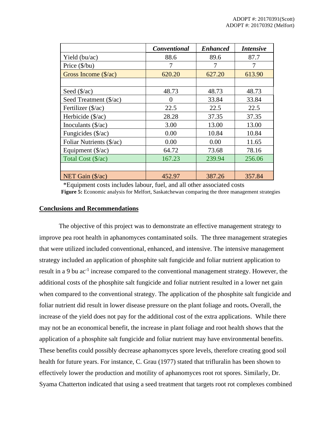|                             | <b>Conventional</b> | <b>Enhanced</b> | <b>Intensive</b> |
|-----------------------------|---------------------|-----------------|------------------|
| Yield (bu/ac)               | 88.6                | 89.6            | 87.7             |
| Price $(\frac{6}{bu})$      | 7                   | 7               | 7                |
| Gross Income (\$/ac)        | 620.20              | 627.20          | 613.90           |
|                             |                     |                 |                  |
| Seed $(\frac{5}{ac})$       | 48.73               | 48.73           | 48.73            |
| Seed Treatment (\$/ac)      | 0                   | 33.84           | 33.84            |
| Fertilizer (\$/ac)          | 22.5                | 22.5            | 22.5             |
| Herbicide (\$/ac)           | 28.28               | 37.35           | 37.35            |
| Inoculants $(\frac{5}{ac})$ | 3.00                | 13.00           | 13.00            |
| Fungicides (\$/ac)          | 0.00                | 10.84           | 10.84            |
| Foliar Nutrients (\$/ac)    | 0.00                | 0.00            | 11.65            |
| Equipment $(\frac{5}{ac})$  | 64.72               | 73.68           | 78.16            |
| Total Cost (\$/ac)          | 167.23              | 239.94          | 256.06           |
|                             |                     |                 |                  |
| NET Gain $(\frac{5}{ac})$   | 452.97              | 387.26          | 357.84           |

\*Equipment costs includes labour, fuel, and all other associated costs **Figure 5:** Economic analysis for Melfort, Saskatchewan comparing the three management strategies

# **Conclusions and Recommendations**

The objective of this project was to demonstrate an effective management strategy to improve pea root health in aphanomyces contaminated soils. The three management strategies that were utilized included conventional, enhanced, and intensive. The intensive management strategy included an application of phosphite salt fungicide and foliar nutrient application to result in a 9 bu ac<sup>-1</sup> increase compared to the conventional management strategy. However, the additional costs of the phosphite salt fungicide and foliar nutrient resulted in a lower net gain when compared to the conventional strategy. The application of the phosphite salt fungicide and foliar nutrient did result in lower disease pressure on the plant foliage and roots**.** Overall, the increase of the yield does not pay for the additional cost of the extra applications. While there may not be an economical benefit, the increase in plant foliage and root health shows that the application of a phosphite salt fungicide and foliar nutrient may have environmental benefits. These benefits could possibly decrease aphanomyces spore levels, therefore creating good soil health for future years. For instance, C. Grau (1977) stated that trifluralin has been shown to effectively lower the production and motility of aphanomyces root rot spores. Similarly, Dr. Syama Chatterton indicated that using a seed treatment that targets root rot complexes combined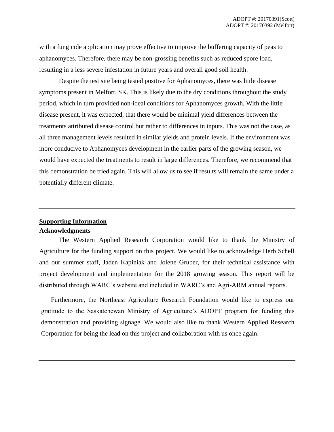with a fungicide application may prove effective to improve the buffering capacity of peas to aphanomyces. Therefore, there may be non-grossing benefits such as reduced spore load, resulting in a less severe infestation in future years and overall good soil health.

Despite the test site being tested positive for Aphanomyces, there was little disease symptoms present in Melfort, SK. This is likely due to the dry conditions throughout the study period, which in turn provided non-ideal conditions for Aphanomyces growth. With the little disease present, it was expected, that there would be minimal yield differences between the treatments attributed disease control but rather to differences in inputs. This was not the case, as all three management levels resulted in similar yields and protein levels. If the environment was more conducive to Aphanomyces development in the earlier parts of the growing season, we would have expected the treatments to result in large differences. Therefore, we recommend that this demonstration be tried again. This will allow us to see if results will remain the same under a potentially different climate.

# **Supporting Information Acknowledgments**

The Western Applied Research Corporation would like to thank the Ministry of Agriculture for the funding support on this project. We would like to acknowledge Herb Schell and our summer staff, Jaden Kapiniak and Jolene Gruber, for their technical assistance with project development and implementation for the 2018 growing season. This report will be distributed through WARC's website and included in WARC's and Agri-ARM annual reports.

Furthermore, the Northeast Agriculture Research Foundation would like to express our gratitude to the Saskatchewan Ministry of Agriculture's ADOPT program for funding this demonstration and providing signage. We would also like to thank Western Applied Research Corporation for being the lead on this project and collaboration with us once again.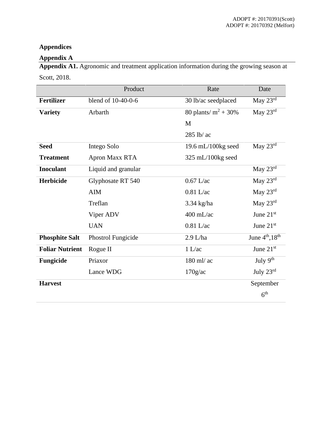# **Appendices**

# **Appendix A**

**Appendix A1.** Agronomic and treatment application information during the growing season at Scott, 2018.

|                        | Product             | Rate                    | Date                  |
|------------------------|---------------------|-------------------------|-----------------------|
| <b>Fertilizer</b>      | blend of 10-40-0-6  | 30 lb/ac seedplaced     | May 23rd              |
| <b>Variety</b>         | Arbarth             | 80 plants/ $m^2 + 30\%$ | May $23rd$            |
|                        |                     | M                       |                       |
|                        |                     | 285 lb/ ac              |                       |
| <b>Seed</b>            | Intego Solo         | 19.6 mL/100 $kg$ seed   | May 23rd              |
| <b>Treatment</b>       | Apron Maxx RTA      | 325 mL/100kg seed       |                       |
| <b>Inoculant</b>       | Liquid and granular |                         | May $23rd$            |
| <b>Herbicide</b>       | Glyphosate RT 540   | $0.67$ L/ac             | May $23rd$            |
|                        | <b>AIM</b>          | $0.81$ L/ac             | May $23^{\text{rd}}$  |
|                        | Treflan             | $3.34$ kg/ha            | May $23^{\text{rd}}$  |
|                        | Viper ADV           | $400$ mL/ac             | June $21st$           |
|                        | <b>UAN</b>          | $0.81$ L/ac             | June $21st$           |
| <b>Phosphite Salt</b>  | Phostrol Fungicide  | $2.9$ L/ha              | June $4th$ , $18th$   |
| <b>Foliar Nutrient</b> | Rogue II            | 1 L/ac                  | June 21st             |
| Fungicide              | Priaxor             | $180$ ml/ ac            | July $9th$            |
|                        | Lance WDG           | 170g/ac                 | July $23^{\text{rd}}$ |
| <b>Harvest</b>         |                     |                         | September             |
|                        |                     |                         | 6 <sup>th</sup>       |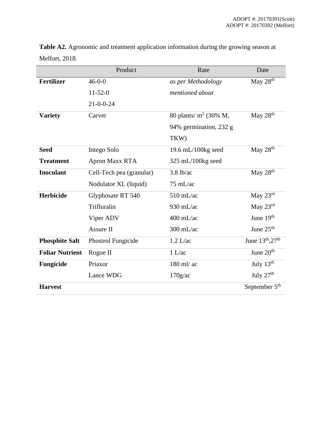|                        | Product                  | Rate                     | Date                            |
|------------------------|--------------------------|--------------------------|---------------------------------|
| <b>Fertilizer</b>      | $46 - 0 - 0$             | as per Methodology       | May $28th$                      |
|                        | $11-52-0$                | mentioned about          |                                 |
|                        | $21 - 0 - 0 - 24$        |                          |                                 |
| <b>Variety</b>         | Carver                   | 80 plants/ $m^2$ (30% M, | May $28th$                      |
|                        |                          | 94% germination, 232 g   |                                 |
|                        |                          | TKW)                     |                                 |
| <b>Seed</b>            | Intego Solo              | 19.6 mL/100kg seed       | May $28th$                      |
| <b>Treatment</b>       | Apron Maxx RTA           | $325$ mL/100kg seed      |                                 |
| <b>Inoculant</b>       | Cell-Tech pea (granular) | $3.8$ lb/ac              | May 28 <sup>th</sup>            |
|                        | Nodulator XL (liquid)    | $75 \text{ mL/ac}$       |                                 |
| <b>Herbicide</b>       | Glyphosate RT 540        | $510$ mL/ac              | May $23^{\overline{\text{rd}}}$ |
|                        | Trifluralin              | 930 mL/ac                | May $23^{\text{rd}}$            |
|                        | Viper ADV                | $400$ mL/ac              | June 19 <sup>th</sup>           |
|                        | Assure II                | $300$ mL/ac              | June $25th$                     |
| <b>Phosphite Salt</b>  | Phostrol Fungicide       | $1.2$ L/ac               | June 13th, 27th                 |
| <b>Foliar Nutrient</b> | Rogue II                 | 1 L/ac                   | June $20th$                     |
| Fungicide              | Priaxor                  | 180 ml/ ac               | July $13th$                     |
|                        | Lance WDG                | $170$ g/ac               | July $27th$                     |
| <b>Harvest</b>         |                          |                          | September 5 <sup>th</sup>       |

**Table A2.** Agronomic and treatment application information during the growing season at Melfort, 2018.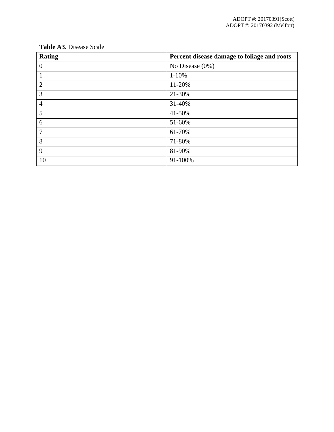| <b>Rating</b>  | Percent disease damage to foliage and roots |
|----------------|---------------------------------------------|
| $\theta$       | No Disease $(0\%)$                          |
|                | $1 - 10%$                                   |
| $\overline{2}$ | 11-20%                                      |
| $\overline{3}$ | 21-30%                                      |
| $\overline{4}$ | 31-40%                                      |
| 5              | 41-50%                                      |
| 6              | 51-60%                                      |
| $\overline{7}$ | 61-70%                                      |
| 8              | 71-80%                                      |
| 9              | 81-90%                                      |
| 10             | 91-100%                                     |

**Table A3.** Disease Scale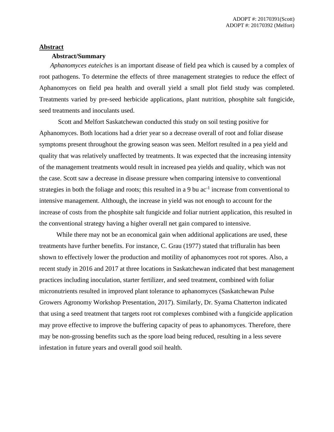#### **Abstract**

#### **Abstract/Summary**

*Aphanomyces euteiches* is an important disease of field pea which is caused by a complex of root pathogens. To determine the effects of three management strategies to reduce the effect of Aphanomyces on field pea health and overall yield a small plot field study was completed. Treatments varied by pre-seed herbicide applications, plant nutrition, phosphite salt fungicide, seed treatments and inoculants used.

Scott and Melfort Saskatchewan conducted this study on soil testing positive for Aphanomyces. Both locations had a drier year so a decrease overall of root and foliar disease symptoms present throughout the growing season was seen. Melfort resulted in a pea yield and quality that was relatively unaffected by treatments. It was expected that the increasing intensity of the management treatments would result in increased pea yields and quality, which was not the case. Scott saw a decrease in disease pressure when comparing intensive to conventional strategies in both the foliage and roots; this resulted in a 9 bu ac<sup>-1</sup> increase from conventional to intensive management. Although, the increase in yield was not enough to account for the increase of costs from the phosphite salt fungicide and foliar nutrient application, this resulted in the conventional strategy having a higher overall net gain compared to intensive.

While there may not be an economical gain when additional applications are used, these treatments have further benefits. For instance, C. Grau (1977) stated that trifluralin has been shown to effectively lower the production and motility of aphanomyces root rot spores. Also, a recent study in 2016 and 2017 at three locations in Saskatchewan indicated that best management practices including inoculation, starter fertilizer, and seed treatment, combined with foliar micronutrients resulted in improved plant tolerance to aphanomyces (Saskatchewan Pulse Growers Agronomy Workshop Presentation, 2017). Similarly, Dr. Syama Chatterton indicated that using a seed treatment that targets root rot complexes combined with a fungicide application may prove effective to improve the buffering capacity of peas to aphanomyces. Therefore, there may be non-grossing benefits such as the spore load being reduced, resulting in a less severe infestation in future years and overall good soil health.